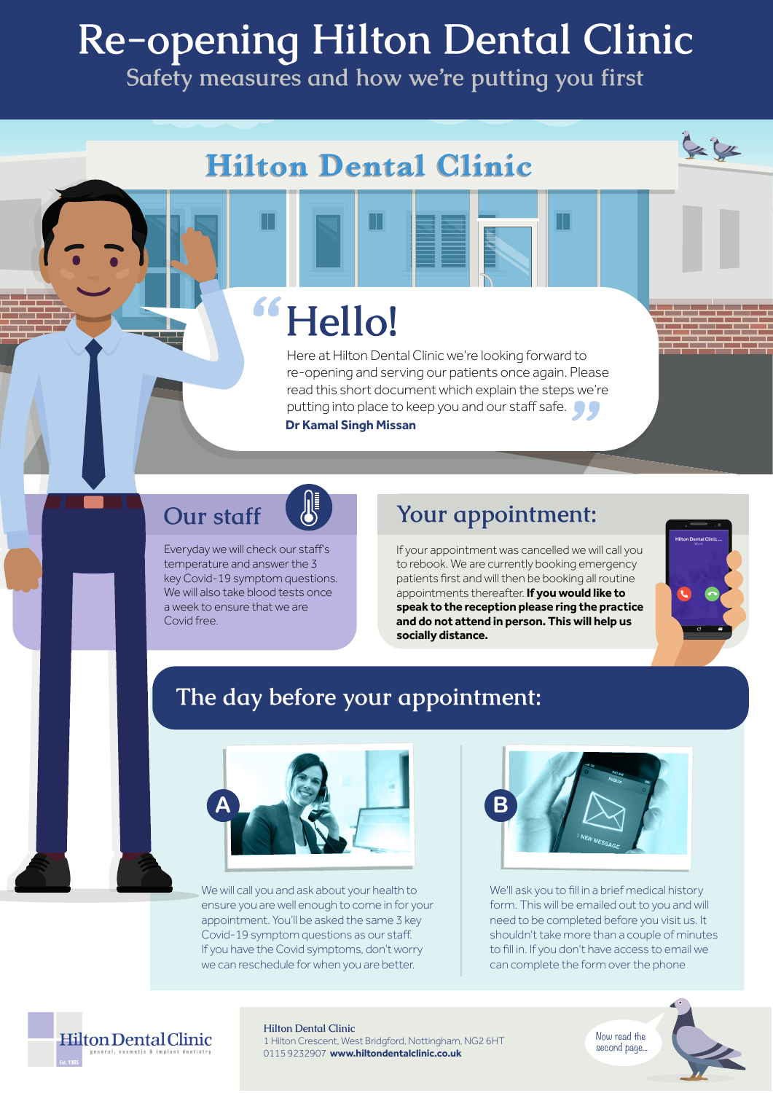# **Re-opening Hilton Dental Clinic**

**Safety measures and how we're putting you first**

## **Hilton Dental Clinic**

# **Hello!**

Here at Hilton Dental Clinic we're looking forward to re-opening and serving our patients once again. Please read this short document which explain the steps we're putting into place to keep you and our staff safe.  $\bullet$ **Dr Kamal Singh Missan**

### **Our staff**

Everyday we will check our staff's temperature and answer the 3 key Covid-19 symptom questions. We will also take blood tests once a week to ensure that we are Covid free.

### **Your appointment:**

If your appointment was cancelled we will call you to rebook. We are currently booking emergency patients first and will then be booking all routine appointments thereafter. **If you would like to speak to the reception please ring the practice and do not attend in person. This will help us socially distance.**



 $= 0.1$ 

### **The day before your appointment:**



We will call you and ask about your health to ensure you are well enough to come in for your appointment. You'll be asked the same 3 key Covid-19 symptom questions as our staff. If you have the Covid symptoms, don't worry we can reschedule for when you are better.



We'll ask you to fill in a brief medical history form. This will be emailed out to you and will need to be completed before you visit us. It shouldn't take more than a couple of minutes to fill in. If you don't have access to email we can complete the form over the phone





#### **Hilton Dental Clinic**

1 Hilton Crescent, West Bridgford, Nottingham, NG2 6HT 0115 9232907 **www.hiltondentalclinic.co.uk**